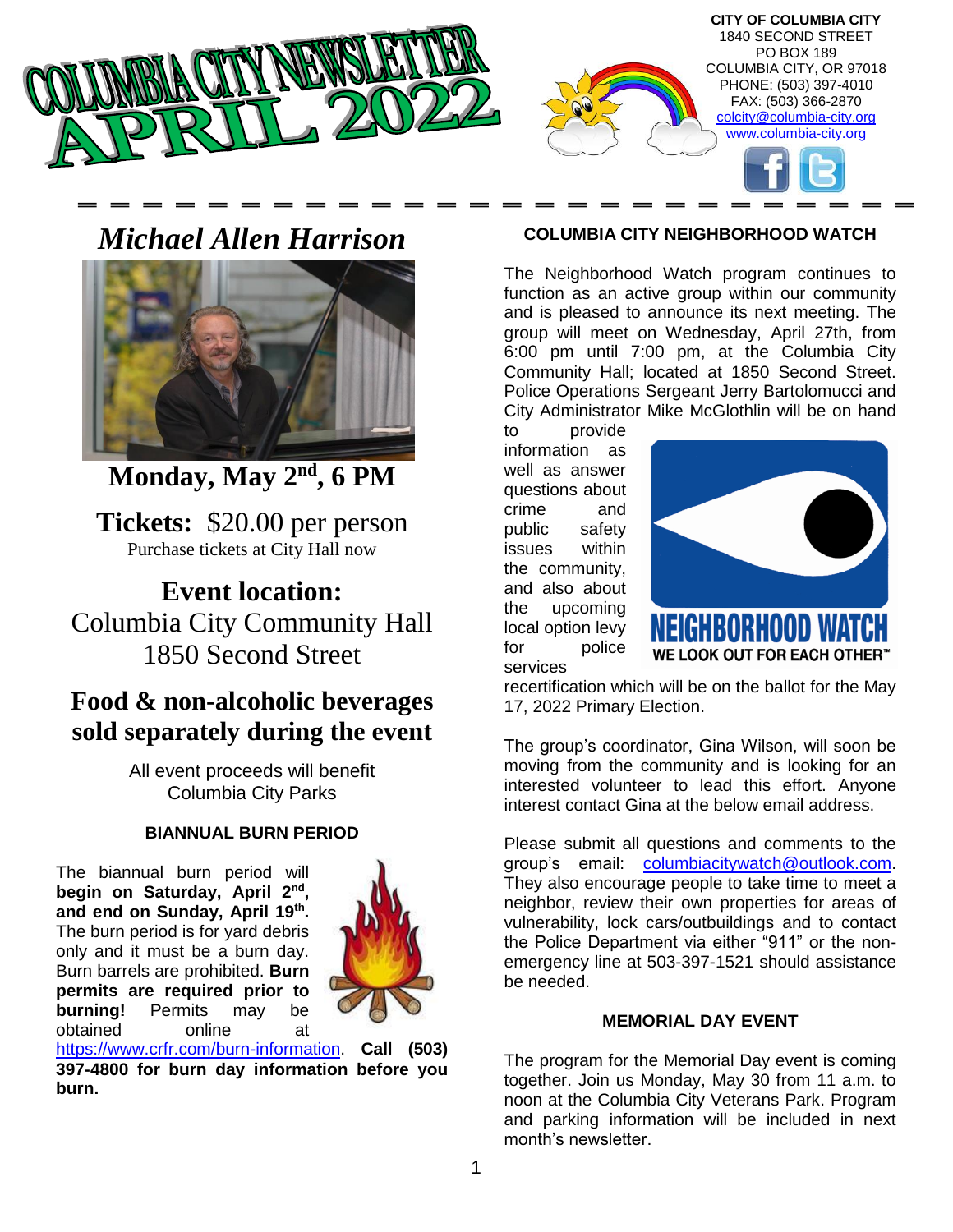

# *Michael Allen Harrison*



**Monday, May 2nd, 6 PM**

**Tickets:** \$20.00 per person Purchase tickets at City Hall now

**Event location:** Columbia City Community Hall 1850 Second Street

## **Food & non-alcoholic beverages sold separately during the event**

All event proceeds will benefit Columbia City Parks

#### **BIANNUAL BURN PERIOD**

The biannual burn period will **begin on Saturday, April 2nd , and end on Sunday, April 19th .** The burn period is for yard debris only and it must be a burn day. Burn barrels are prohibited. **Burn permits are required prior to burning!** Permits may be obtained online at



[https://www.crfr.com/burn-information.](https://www.crfr.com/burn-information) **Call (503) 397-4800 for burn day information before you burn.** 

#### **COLUMBIA CITY NEIGHBORHOOD WATCH**

The Neighborhood Watch program continues to function as an active group within our community and is pleased to announce its next meeting. The group will meet on Wednesday, April 27th, from 6:00 pm until 7:00 pm, at the Columbia City Community Hall; located at 1850 Second Street. Police Operations Sergeant Jerry Bartolomucci and City Administrator Mike McGlothlin will be on hand

to provide information as well as answer questions about crime and public safety issues within the community, and also about the upcoming local option levy for police services



recertification which will be on the ballot for the May 17, 2022 Primary Election.

The group's coordinator, Gina Wilson, will soon be moving from the community and is looking for an interested volunteer to lead this effort. Anyone interest contact Gina at the below email address.

Please submit all questions and comments to the group's email: [columbiacitywatch@outlook.com.](mailto:columbiacitywatch@outlook.com) They also encourage people to take time to meet a neighbor, review their own properties for areas of vulnerability, lock cars/outbuildings and to contact the Police Department via either "911" or the nonemergency line at 503-397-1521 should assistance be needed.

#### **MEMORIAL DAY EVENT**

The program for the Memorial Day event is coming together. Join us Monday, May 30 from 11 a.m. to noon at the Columbia City Veterans Park. Program and parking information will be included in next month's newsletter.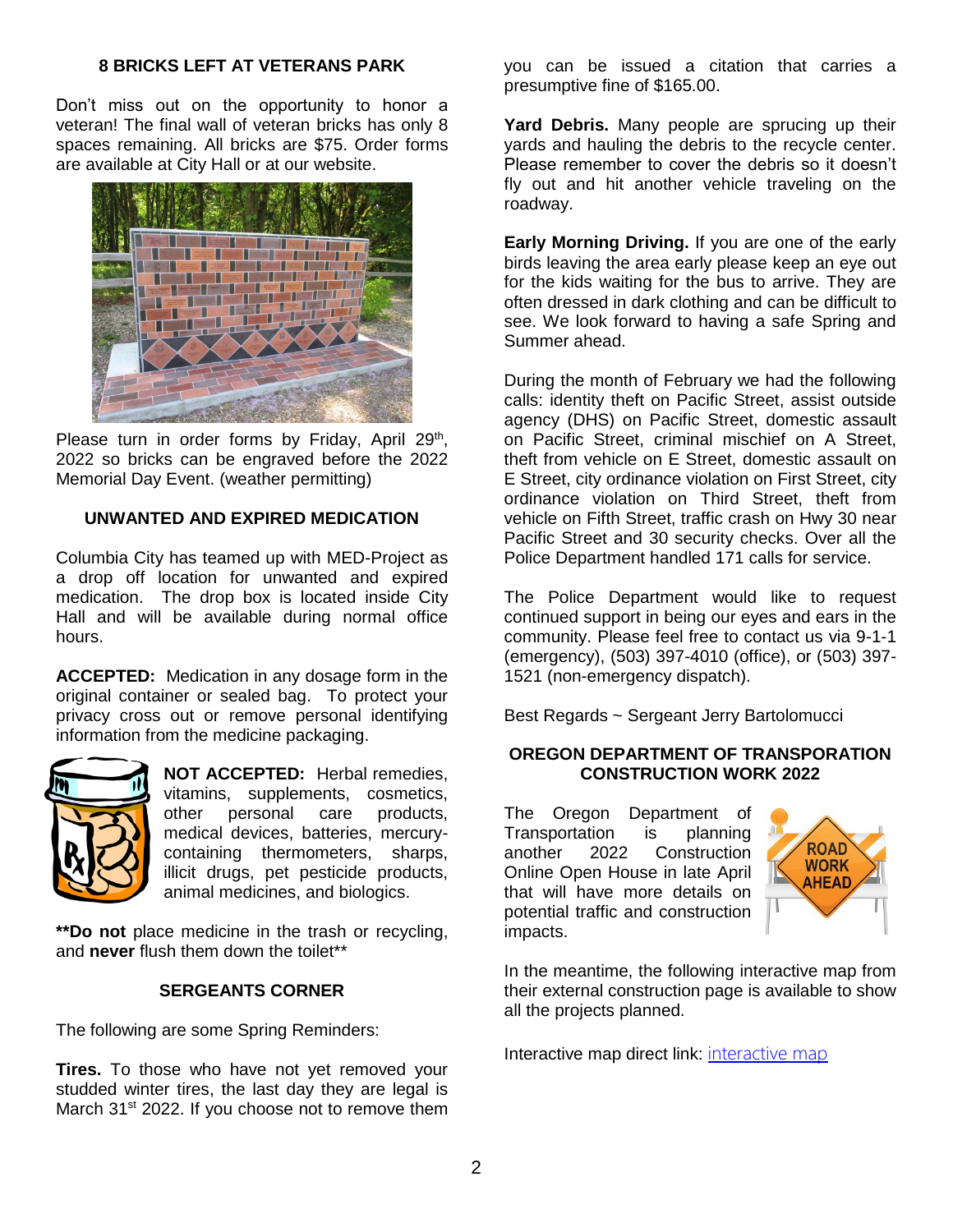#### **8 BRICKS LEFT AT VETERANS PARK**

Don't miss out on the opportunity to honor a veteran! The final wall of veteran bricks has only 8 spaces remaining. All bricks are \$75. Order forms are available at City Hall or at our website.



Please turn in order forms by Friday, April 29<sup>th</sup>, 2022 so bricks can be engraved before the 2022 Memorial Day Event. (weather permitting)

#### **UNWANTED AND EXPIRED MEDICATION**

Columbia City has teamed up with MED-Project as a drop off location for unwanted and expired medication. The drop box is located inside City Hall and will be available during normal office hours.

**ACCEPTED:** Medication in any dosage form in the original container or sealed bag. To protect your privacy cross out or remove personal identifying information from the medicine packaging.



**NOT ACCEPTED:** Herbal remedies, vitamins, supplements, cosmetics, other personal care products, medical devices, batteries, mercurycontaining thermometers, sharps, illicit drugs, pet pesticide products, animal medicines, and biologics.

**\*\*Do not** place medicine in the trash or recycling, and **never** flush them down the toilet\*\*

#### **SERGEANTS CORNER**

The following are some Spring Reminders:

**Tires.** To those who have not yet removed your studded winter tires, the last day they are legal is March 31<sup>st</sup> 2022. If you choose not to remove them you can be issued a citation that carries a presumptive fine of \$165.00.

**Yard Debris.** Many people are sprucing up their yards and hauling the debris to the recycle center. Please remember to cover the debris so it doesn't fly out and hit another vehicle traveling on the roadway.

**Early Morning Driving.** If you are one of the early birds leaving the area early please keep an eye out for the kids waiting for the bus to arrive. They are often dressed in dark clothing and can be difficult to see. We look forward to having a safe Spring and Summer ahead.

During the month of February we had the following calls: identity theft on Pacific Street, assist outside agency (DHS) on Pacific Street, domestic assault on Pacific Street, criminal mischief on A Street, theft from vehicle on E Street, domestic assault on E Street, city ordinance violation on First Street, city ordinance violation on Third Street, theft from vehicle on Fifth Street, traffic crash on Hwy 30 near Pacific Street and 30 security checks. Over all the Police Department handled 171 calls for service.

The Police Department would like to request continued support in being our eyes and ears in the community. Please feel free to contact us via 9-1-1 (emergency), (503) 397-4010 (office), or (503) 397- 1521 (non-emergency dispatch).

Best Regards ~ Sergeant Jerry Bartolomucci

#### **OREGON DEPARTMENT OF TRANSPORATION CONSTRUCTION WORK 2022**

The Oregon Department of Transportation is planning another 2022 Construction Online Open House in late April that will have more details on potential traffic and construction impacts.



In the meantime, the following interactive map from their external construction page is available to show all the projects planned.

Interactive map direct link: [interactive map](https://www.google.com/maps/d/viewer?mid=11KbB2eAt7uWJkED3cM48VBFlIOvLoYxK&ll=44.89225700823861%2C-120.82244920547687&z=8)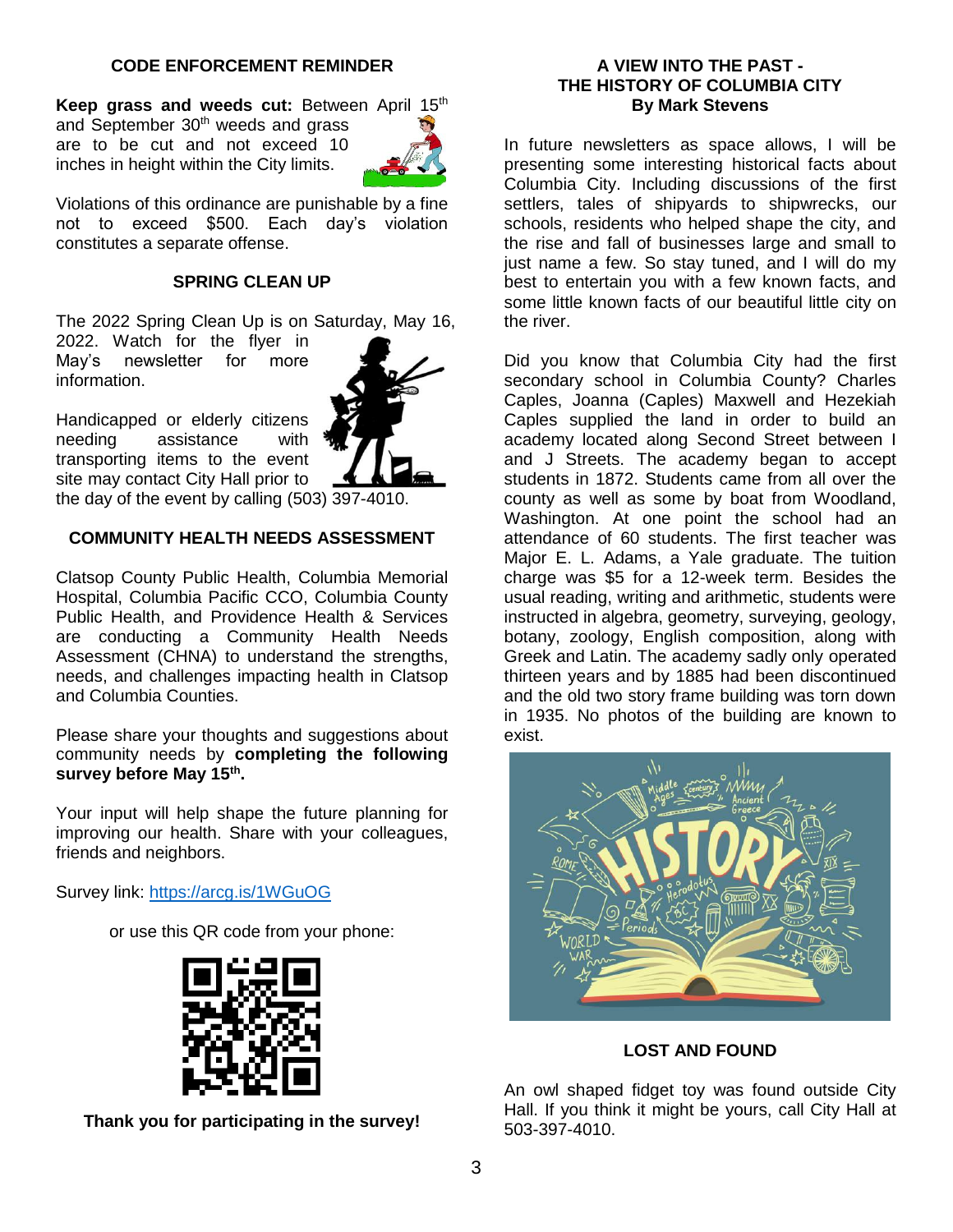#### **CODE ENFORCEMENT REMINDER**

Keep grass and weeds cut: Between April 15<sup>th</sup>

and September 30<sup>th</sup> weeds and grass are to be cut and not exceed 10 inches in height within the City limits.



Violations of this ordinance are punishable by a fine not to exceed \$500. Each day's violation constitutes a separate offense.

#### **SPRING CLEAN UP**

The 2022 Spring Clean Up is on Saturday, May 16,

2022. Watch for the flyer in May's newsletter for more information.



Handicapped or elderly citizens needing assistance with transporting items to the event site may contact City Hall prior to the day of the event by calling (503) 397-4010.

#### **COMMUNITY HEALTH NEEDS ASSESSMENT**

Clatsop County Public Health, Columbia Memorial Hospital, Columbia Pacific CCO, Columbia County Public Health, and Providence Health & Services are conducting a Community Health Needs Assessment (CHNA) to understand the strengths, needs, and challenges impacting health in Clatsop and Columbia Counties.

Please share your thoughts and suggestions about community needs by **completing the following survey before May 15th .**

Your input will help shape the future planning for improving our health. Share with your colleagues, friends and neighbors.

Survey link:<https://arcg.is/1WGuOG>

or use this QR code from your phone:



**Thank you for participating in the survey!**

#### **A VIEW INTO THE PAST - THE HISTORY OF COLUMBIA CITY By Mark Stevens**

In future newsletters as space allows, I will be presenting some interesting historical facts about Columbia City. Including discussions of the first settlers, tales of shipyards to shipwrecks, our schools, residents who helped shape the city, and the rise and fall of businesses large and small to just name a few. So stay tuned, and I will do my best to entertain you with a few known facts, and some little known facts of our beautiful little city on the river.

Did you know that Columbia City had the first secondary school in Columbia County? Charles Caples, Joanna (Caples) Maxwell and Hezekiah Caples supplied the land in order to build an academy located along Second Street between I and J Streets. The academy began to accept students in 1872. Students came from all over the county as well as some by boat from Woodland, Washington. At one point the school had an attendance of 60 students. The first teacher was Major E. L. Adams, a Yale graduate. The tuition charge was \$5 for a 12-week term. Besides the usual reading, writing and arithmetic, students were instructed in algebra, geometry, surveying, geology, botany, zoology, English composition, along with Greek and Latin. The academy sadly only operated thirteen years and by 1885 had been discontinued and the old two story frame building was torn down in 1935. No photos of the building are known to exist.



#### **LOST AND FOUND**

An owl shaped fidget toy was found outside City Hall. If you think it might be yours, call City Hall at 503-397-4010.